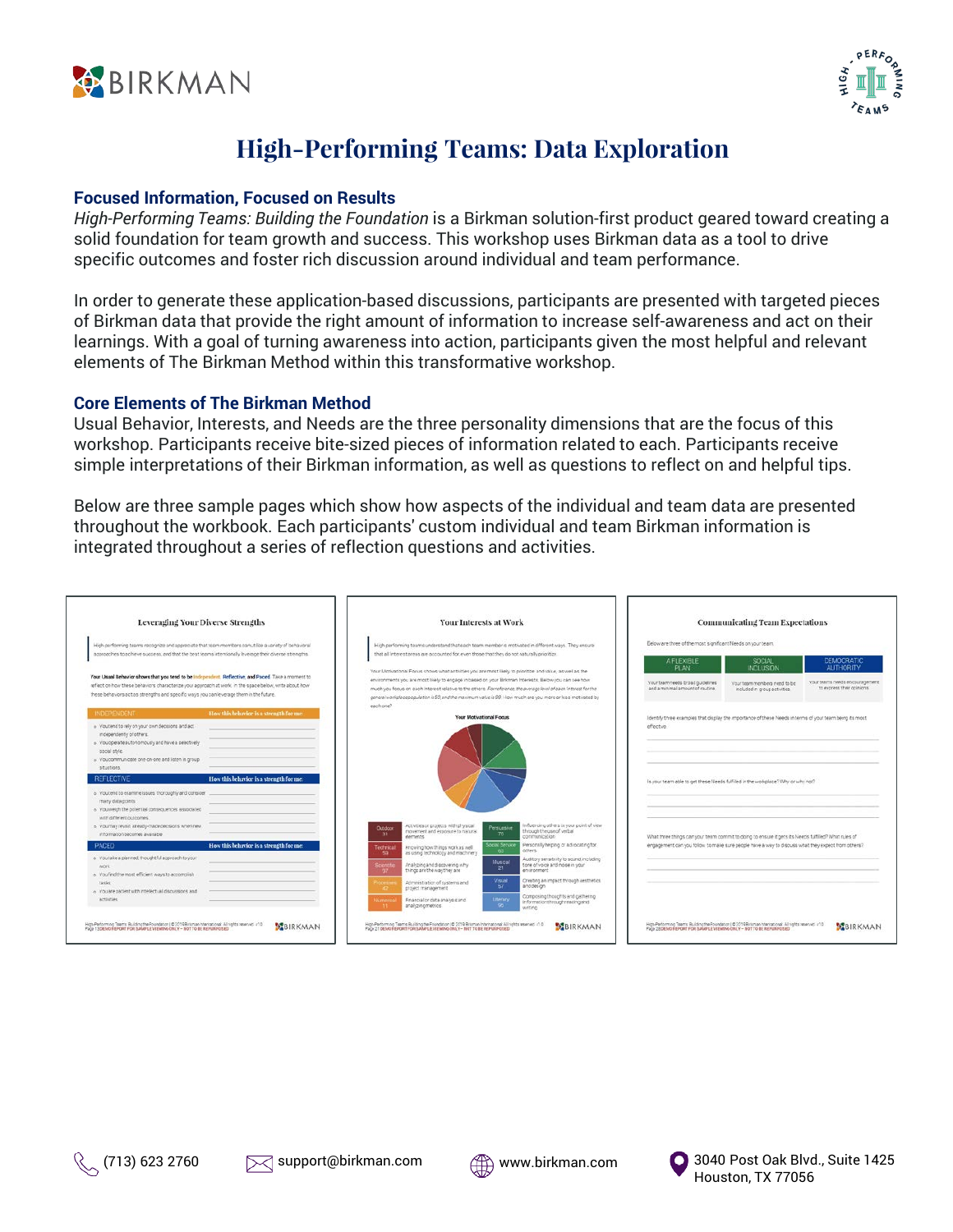



# **High-Performing Teams: Data Exploration**

#### **Focused Information, Focused on Results**

*High-Performing Teams: Building the Foundation* is a Birkman solution-first product geared toward creating a solid foundation for team growth and success. This workshop uses Birkman data as a tool to drive specific outcomes and foster rich discussion around individual and team performance.

In order to generate these application-based discussions, participants are presented with targeted pieces of Birkman data that provide the right amount of information to increase self-awareness and act on their learnings. With a goal of turning awareness into action, participants given the most helpful and relevant elements of The Birkman Method within this transformative workshop.

#### **Core Elements of The Birkman Method**

Usual Behavior, Interests, and Needs are the three personality dimensions that are the focus of this workshop. Participants receive bite-sized pieces of information related to each. Participants receive simple interpretations of their Birkman information, as well as questions to reflect on and helpful tips.

Below are three sample pages which show how aspects of the individual and team data are presented throughout the workbook. Each participants' custom individual and team Birkman information is integrated throughout a series of reflection questions and activities.





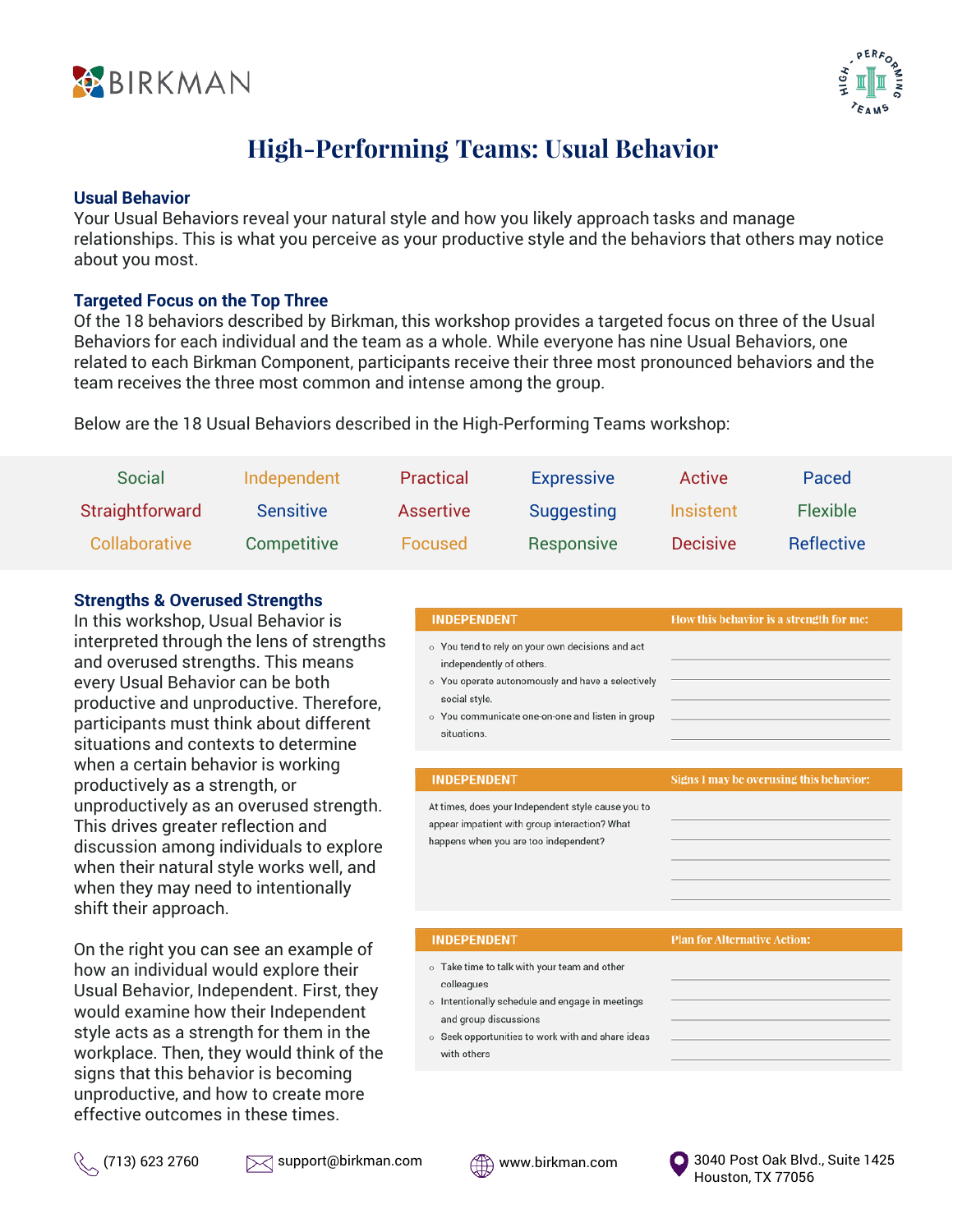



# **High-Performing Teams: Usual Behavior**

#### **Usual Behavior**

Your Usual Behaviors reveal your natural style and how you likely approach tasks and manage relationships. This is what you perceive as your productive style and the behaviors that others may notice about you most.

#### **Targeted Focus on the Top Three**

Of the 18 behaviors described by Birkman, this workshop provides a targeted focus on three of the Usual Behaviors for each individual and the team as a whole. While everyone has nine Usual Behaviors, one related to each Birkman Component, participants receive their three most pronounced behaviors and the team receives the three most common and intense among the group.

Below are the 18 Usual Behaviors described in the High-Performing Teams workshop:

| <b>Social</b>   | Independent      | Practical        | <b>Expressive</b> | Active          | Paced             |
|-----------------|------------------|------------------|-------------------|-----------------|-------------------|
| Straightforward | <b>Sensitive</b> | <b>Assertive</b> | Suggesting        | Insistent       | <b>Flexible</b>   |
| Collaborative   | Competitive      | Focused          | Responsive        | <b>Decisive</b> | <b>Reflective</b> |

### **Strengths & Overused Strengths**

In this workshop, Usual Behavior is interpreted through the lens of strengths and overused strengths. This means every Usual Behavior can be both productive and unproductive. Therefore, participants must think about different situations and contexts to determine when a certain behavior is working productively as a strength, or unproductively as an overused strength. This drives greater reflection and discussion among individuals to explore when their natural style works well, and when they may need to intentionally shift their approach.

On the right you can see an example of how an individual would explore their Usual Behavior, Independent. First, they would examine how their Independent style acts as a strength for them in the workplace. Then, they would think of the signs that this behavior is becoming unproductive, and how to create more effective outcomes in these times.

| <b>INDEPENDENT</b>                                                                                                                                                                                                    | How this behavior is a strength for me: |
|-----------------------------------------------------------------------------------------------------------------------------------------------------------------------------------------------------------------------|-----------------------------------------|
| o You tend to rely on your own decisions and act<br>independently of others.<br>o You operate autonomously and have a selectively<br>social style.<br>o You communicate one-on-one and listen in group<br>situations. |                                         |
| <b>INDEPENDENT</b>                                                                                                                                                                                                    | Signs I may be overusing this behavior: |
| At times, does your Independent style cause you to<br>appear impatient with group interaction? What<br>happens when you are too independent?                                                                          |                                         |
| <b>INDEPENDENT</b>                                                                                                                                                                                                    | <b>Plan for Alternative Action:</b>     |
| o Take time to talk with your team and other<br>colleagues<br>o Intentionally schedule and engage in meetings<br>and group discussions<br>o Seek opportunities to work with and share ideas<br>with others            |                                         |
|                                                                                                                                                                                                                       |                                         |



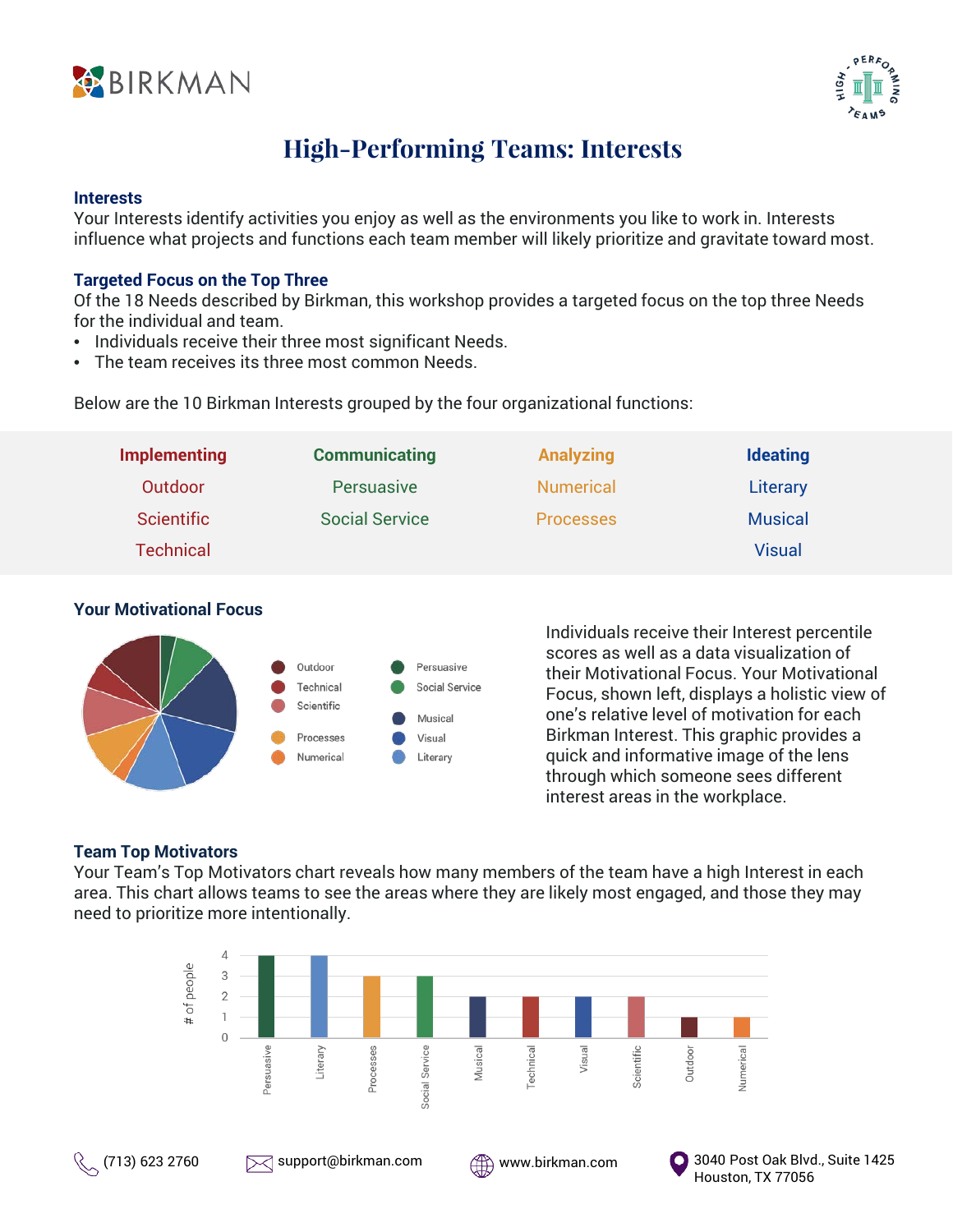



# **High-Performing Teams: Interests**

#### **Interests**

Your Interests identify activities you enjoy as well as the environments you like to work in. Interests influence what projects and functions each team member will likely prioritize and gravitate toward most.

### **Targeted Focus on the Top Three**

Of the 18 Needs described by Birkman, this workshop provides a targeted focus on the top three Needs for the individual and team.

- Individuals receive their three most significant Needs.
- The team receives its three most common Needs.

Below are the 10 Birkman Interests grouped by the four organizational functions:

| <b>Implementing</b> | <b>Communicating</b>  | <b>Analyzing</b> | <b>Ideating</b> |
|---------------------|-----------------------|------------------|-----------------|
| Outdoor             | Persuasive            | <b>Numerical</b> | Literary        |
| <b>Scientific</b>   | <b>Social Service</b> | <b>Processes</b> | <b>Musical</b>  |
| <b>Technical</b>    |                       |                  | <b>Visual</b>   |

## **Your Motivational Focus**



Individuals receive their Interest percentile scores as well as a data visualization of their Motivational Focus. Your Motivational Focus, shown left, displays a holistic view of one's relative level of motivation for each Birkman Interest. This graphic provides a quick and informative image of the lens through which someone sees different interest areas in the workplace.

### **Team Top Motivators**

Your Team's Top Motivators chart reveals how many members of the team have a high Interest in each area. This chart allows teams to see the areas where they are likely most engaged, and those they may need to prioritize more intentionally.